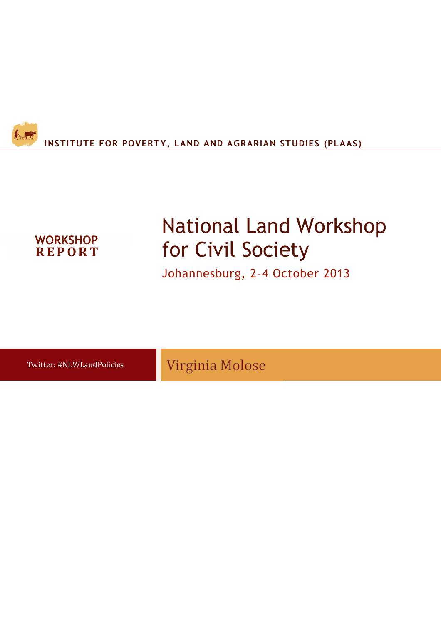

# **R E P O R T WORKSHOP**

# National Land Workshop for Civil Society

Johannesburg, 2–4 October 2013

Twitter: #NLWLandPolicies

Virginia Molose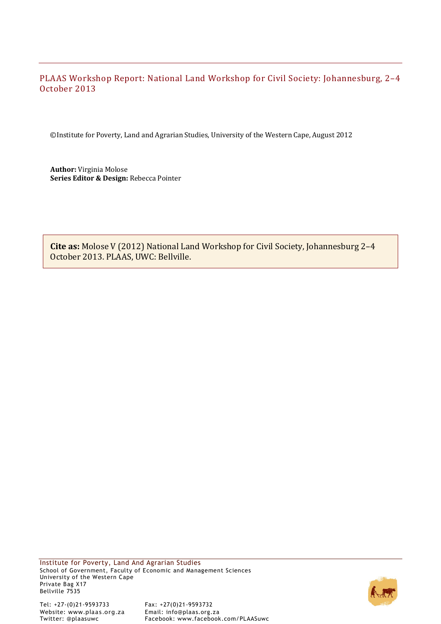# PLAAS Workshop Report: National Land Workshop for Civil Society: Johannesburg, 2–4 October 2013

©Institute for Poverty, Land and Agrarian Studies, University of the Western Cape, August 2012

**Author:** Virginia Molose **Series Editor & Design:** Rebecca Pointer

**Cite as:** Molose V (2012) National Land Workshop for Civil Society, Johannesburg 2–4 October 2013. PLAAS, UWC: Bellville.

Institute for Poverty, Land And Agrarian Studies School of Government, Faculty of Economic and Management Sciences University of the Western Cape Private Bag X17 Bellville 7535

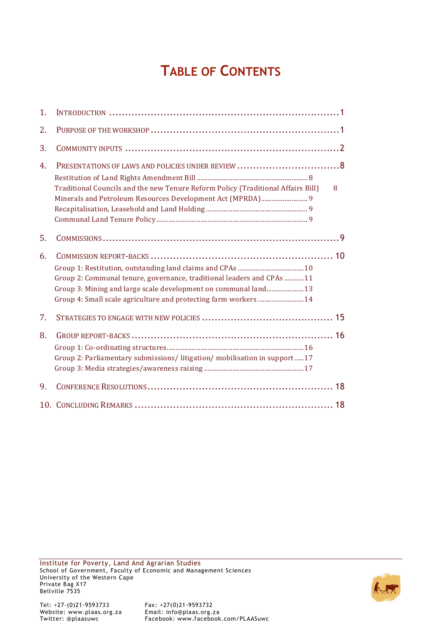# **TABLE OF CONTENTS**

| 1. |                                                                                                                                                                                                             |   |
|----|-------------------------------------------------------------------------------------------------------------------------------------------------------------------------------------------------------------|---|
| 2. |                                                                                                                                                                                                             |   |
| 3. |                                                                                                                                                                                                             |   |
| 4. |                                                                                                                                                                                                             |   |
|    | Traditional Councils and the new Tenure Reform Policy (Traditional Affairs Bill)                                                                                                                            | 8 |
| 5. |                                                                                                                                                                                                             |   |
| 6. | Group 2: Communal tenure, governance, traditional leaders and CPAs 11<br>Group 3: Mining and large scale development on communal land 13<br>Group 4: Small scale agriculture and protecting farm workers 14 |   |
| 7. |                                                                                                                                                                                                             |   |
| 8. | Group 2: Parliamentary submissions/ litigation/ mobilisation in support  17                                                                                                                                 |   |
| 9. |                                                                                                                                                                                                             |   |
|    |                                                                                                                                                                                                             |   |

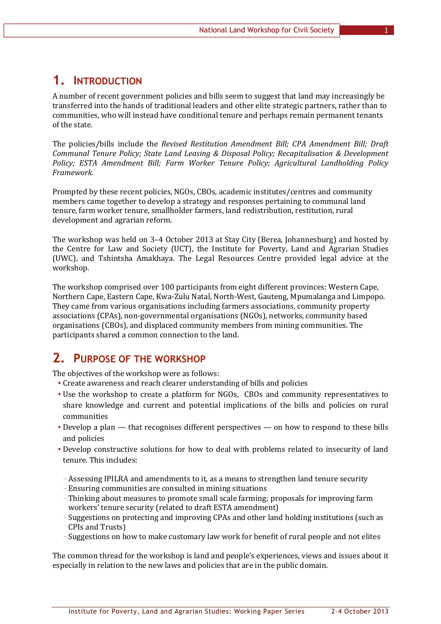# **1. INTRODUCTION**

A number of recent government policies and bills seem to suggest that land may increasingly be transferred into the hands of traditional leaders and other elite strategic partners, rather than to communities, who will instead have conditional tenure and perhaps remain permanent tenants of the state.

The policies/bills include the *Revised Restitution Amendment Bill; CPA Amendment Bill; Draft Communal Tenure Policy; State Land Leasing & Disposal Policy; Recapitalisation & Development Policy; ESTA Amendment Bill; Farm Worker Tenure Policy; Agricultural Landholding Policy Framework.*

Prompted by these recent policies, NGOs, CBOs, academic institutes/centres and community members came together to develop a strategy and responses pertaining to communal land tenure, farm worker tenure, smallholder farmers, land redistribution, restitution, rural development and agrarian reform.

The workshop was held on 3–4 October 2013 at Stay City (Berea, Johannesburg) and hosted by the Centre for Law and Society (UCT), the Institute for Poverty, Land and Agrarian Studies (UWC), and Tshintsha Amakhaya. The Legal Resources Centre provided legal advice at the workshop.

The workshop comprised over 100 participants from eight different provinces: Western Cape, Northern Cape, Eastern Cape, Kwa-Zulu Natal, North-West, Gauteng, Mpumalanga and Limpopo. They came from various organisations including farmers associations, community property associations (CPAs), non-governmental organisations (NGOs), networks, community based organisations (CBOs), and displaced community members from mining communities. The participants shared a common connection to the land.

# **2. PURPOSE OF THE WORKSHOP**

The objectives of the workshop were as follows:

- Create awareness and reach clearer understanding of bills and policies
- Use the workshop to create a platform for NGOs, CBOs and community representatives to share knowledge and current and potential implications of the bills and policies on rural communities
- Develop a plan that recognises different perspectives on how to respond to these bills and policies
- Develop constructive solutions for how to deal with problems related to insecurity of land tenure. This includes:
	- –Assessing IPILRA and amendments to it, as a means to strengthen land tenure security
	- Ensuring communities are consulted in mining situations
	- Thinking about measures to promote small scale farming; proposals for improving farm workers' tenure security (related to draft ESTA amendment)
	- Suggestions on protecting and improving CPAs and other land holding institutions (such as CPIs and Trusts)
	- Suggestions on how to make customary law work for benefit of rural people and not elites

The common thread for the workshop is land and people's experiences, views and issues about it especially in relation to the new laws and policies that are in the public domain.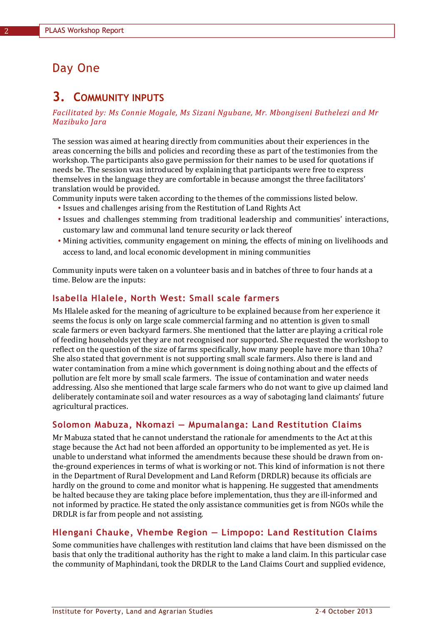# Day One

# **3. COMMUNITY INPUTS**

#### *Facilitated by: Ms Connie Mogale, Ms Sizani Ngubane, Mr. Mbongiseni Buthelezi and Mr Mazibuko Jara*

The session was aimed at hearing directly from communities about their experiences in the areas concerning the bills and policies and recording these as part of the testimonies from the workshop. The participants also gave permission for their names to be used for quotations if needs be. The session was introduced by explaining that participants were free to express themselves in the language they are comfortable in because amongst the three facilitators' translation would be provided.

Community inputs were taken according to the themes of the commissions listed below.

- Issues and challenges arising from the Restitution of Land Rights Act
- Issues and challenges stemming from traditional leadership and communities' interactions, customary law and communal land tenure security or lack thereof
- Mining activities, community engagement on mining, the effects of mining on livelihoods and access to land, and local economic development in mining communities

Community inputs were taken on a volunteer basis and in batches of three to four hands at a time. Below are the inputs:

# **Isabella Hlalele, North West: Small scale farmers**

Ms Hlalele asked for the meaning of agriculture to be explained because from her experience it seems the focus is only on large scale commercial farming and no attention is given to small scale farmers or even backyard farmers. She mentioned that the latter are playing a critical role of feeding households yet they are not recognised nor supported. She requested the workshop to reflect on the question of the size of farms specifically, how many people have more than 10ha? She also stated that government is not supporting small scale farmers. Also there is land and water contamination from a mine which government is doing nothing about and the effects of pollution are felt more by small scale farmers. The issue of contamination and water needs addressing. Also she mentioned that large scale farmers who do not want to give up claimed land deliberately contaminate soil and water resources as a way of sabotaging land claimants' future agricultural practices.

# **Solomon Mabuza, Nkomazi — Mpumalanga: Land Restitution Claims**

Mr Mabuza stated that he cannot understand the rationale for amendments to the Act at this stage because the Act had not been afforded an opportunity to be implemented as yet. He is unable to understand what informed the amendments because these should be drawn from onthe-ground experiences in terms of what is working or not. This kind of information is not there in the Department of Rural Development and Land Reform (DRDLR) because its officials are hardly on the ground to come and monitor what is happening. He suggested that amendments be halted because they are taking place before implementation, thus they are ill-informed and not informed by practice. He stated the only assistance communities get is from NGOs while the DRDLR is far from people and not assisting.

# **Hlengani Chauke, Vhembe Region — Limpopo: Land Restitution Claims**

Some communities have challenges with restitution land claims that have been dismissed on the basis that only the traditional authority has the right to make a land claim. In this particular case the community of Maphindani, took the DRDLR to the Land Claims Court and supplied evidence,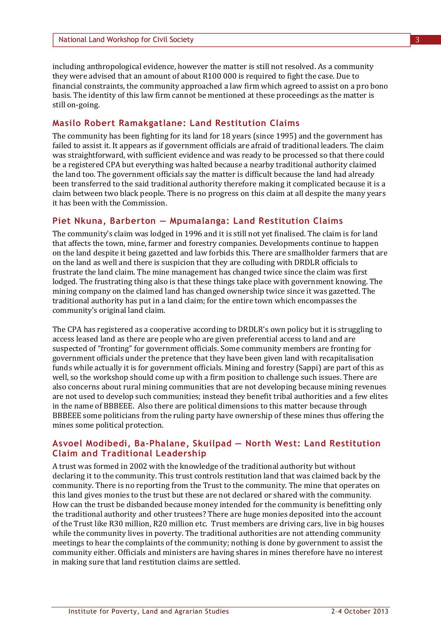including anthropological evidence, however the matter is still not resolved. As a community they were advised that an amount of about R100 000 is required to fight the case. Due to financial constraints, the community approached a law firm which agreed to assist on a pro bono basis. The identity of this law firm cannot be mentioned at these proceedings as the matter is still on-going.

#### **Masilo Robert Ramakgatlane: Land Restitution Claims**

The community has been fighting for its land for 18 years (since 1995) and the government has failed to assist it. It appears as if government officials are afraid of traditional leaders. The claim was straightforward, with sufficient evidence and was ready to be processed so that there could be a registered CPA but everything was halted because a nearby traditional authority claimed the land too. The government officials say the matter is difficult because the land had already been transferred to the said traditional authority therefore making it complicated because it is a claim between two black people. There is no progress on this claim at all despite the many years it has been with the Commission.

## **Piet Nkuna, Barberton — Mpumalanga: Land Restitution Claims**

The community's claim was lodged in 1996 and it is still not yet finalised. The claim is for land that affects the town, mine, farmer and forestry companies. Developments continue to happen on the land despite it being gazetted and law forbids this. There are smallholder farmers that are on the land as well and there is suspicion that they are colluding with DRDLR officials to frustrate the land claim. The mine management has changed twice since the claim was first lodged. The frustrating thing also is that these things take place with government knowing. The mining company on the claimed land has changed ownership twice since it was gazetted. The traditional authority has put in a land claim; for the entire town which encompasses the community's original land claim.

The CPA has registered as a cooperative according to DRDLR's own policy but it is struggling to access leased land as there are people who are given preferential access to land and are suspected of "fronting" for government officials. Some community members are fronting for government officials under the pretence that they have been given land with recapitalisation funds while actually it is for government officials. Mining and forestry (Sappi) are part of this as well, so the workshop should come up with a firm position to challenge such issues. There are also concerns about rural mining communities that are not developing because mining revenues are not used to develop such communities; instead they benefit tribal authorities and a few elites in the name of BBBEEE. Also there are political dimensions to this matter because through BBBEEE some politicians from the ruling party have ownership of these mines thus offering the mines some political protection.

#### **Asvoel Modibedi, Ba-Phalane, Skuilpad — North West: Land Restitution Claim and Traditional Leadership**

A trust was formed in 2002 with the knowledge of the traditional authority but without declaring it to the community. This trust controls restitution land that was claimed back by the community. There is no reporting from the Trust to the community. The mine that operates on this land gives monies to the trust but these are not declared or shared with the community. How can the trust be disbanded because money intended for the community is benefitting only the traditional authority and other trustees? There are huge monies deposited into the account of the Trust like R30 million, R20 million etc. Trust members are driving cars, live in big houses while the community lives in poverty. The traditional authorities are not attending community meetings to hear the complaints of the community; nothing is done by government to assist the community either. Officials and ministers are having shares in mines therefore have no interest in making sure that land restitution claims are settled.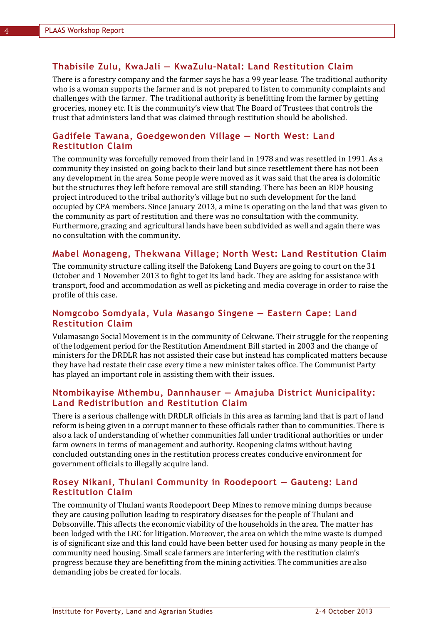## **Thabisile Zulu, KwaJali — KwaZulu-Natal: Land Restitution Claim**

There is a forestry company and the farmer says he has a 99 year lease. The traditional authority who is a woman supports the farmer and is not prepared to listen to community complaints and challenges with the farmer. The traditional authority is benefitting from the farmer by getting groceries, money etc. It is the community's view that The Board of Trustees that controls the trust that administers land that was claimed through restitution should be abolished.

## **Gadifele Tawana, Goedgewonden Village — North West: Land Restitution Claim**

The community was forcefully removed from their land in 1978 and was resettled in 1991. As a community they insisted on going back to their land but since resettlement there has not been any development in the area. Some people were moved as it was said that the area is dolomitic but the structures they left before removal are still standing. There has been an RDP housing project introduced to the tribal authority's village but no such development for the land occupied by CPA members. Since January 2013, a mine is operating on the land that was given to the community as part of restitution and there was no consultation with the community. Furthermore, grazing and agricultural lands have been subdivided as well and again there was no consultation with the community.

## **Mabel Monageng, Thekwana Village; North West: Land Restitution Claim**

The community structure calling itself the Bafokeng Land Buyers are going to court on the 31 October and 1 November 2013 to fight to get its land back. They are asking for assistance with transport, food and accommodation as well as picketing and media coverage in order to raise the profile of this case.

## **Nomgcobo Somdyala, Vula Masango Singene — Eastern Cape: Land Restitution Claim**

Vulamasango Social Movement is in the community of Cekwane. Their struggle for the reopening of the lodgement period for the Restitution Amendment Bill started in 2003 and the change of ministers for the DRDLR has not assisted their case but instead has complicated matters because they have had restate their case every time a new minister takes office. The Communist Party has played an important role in assisting them with their issues.

## **Ntombikayise Mthembu, Dannhauser — Amajuba District Municipality: Land Redistribution and Restitution Claim**

There is a serious challenge with DRDLR officials in this area as farming land that is part of land reform is being given in a corrupt manner to these officials rather than to communities. There is also a lack of understanding of whether communities fall under traditional authorities or under farm owners in terms of management and authority. Reopening claims without having concluded outstanding ones in the restitution process creates conducive environment for government officials to illegally acquire land.

# **Rosey Nikani, Thulani Community in Roodepoort — Gauteng: Land Restitution Claim**

The community of Thulani wants Roodepoort Deep Mines to remove mining dumps because they are causing pollution leading to respiratory diseases for the people of Thulani and Dobsonville. This affects the economic viability of the households in the area. The matter has been lodged with the LRC for litigation. Moreover, the area on which the mine waste is dumped is of significant size and this land could have been better used for housing as many people in the community need housing. Small scale farmers are interfering with the restitution claim's progress because they are benefitting from the mining activities. The communities are also demanding jobs be created for locals.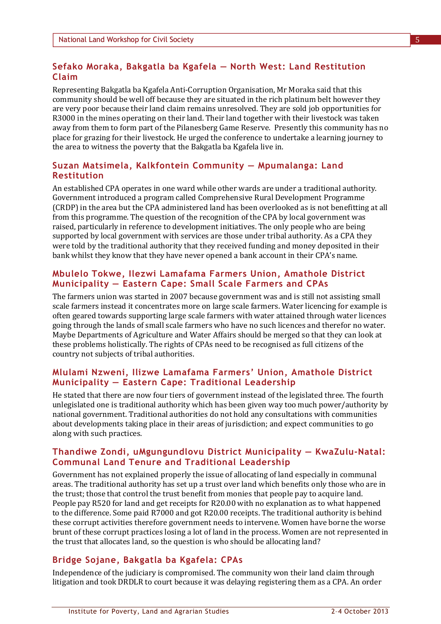# **Sefako Moraka, Bakgatla ba Kgafela — North West: Land Restitution Claim**

Representing Bakgatla ba Kgafela Anti-Corruption Organisation, Mr Moraka said that this community should be well off because they are situated in the rich platinum belt however they are very poor because their land claim remains unresolved. They are sold job opportunities for R3000 in the mines operating on their land. Their land together with their livestock was taken away from them to form part of the Pilanesberg Game Reserve. Presently this community has no place for grazing for their livestock. He urged the conference to undertake a learning journey to the area to witness the poverty that the Bakgatla ba Kgafela live in.

# **Suzan Matsimela, Kalkfontein Community — Mpumalanga: Land Restitution**

An established CPA operates in one ward while other wards are under a traditional authority. Government introduced a program called Comprehensive Rural Development Programme (CRDP) in the area but the CPA administered land has been overlooked as is not benefitting at all from this programme. The question of the recognition of the CPA by local government was raised, particularly in reference to development initiatives. The only people who are being supported by local government with services are those under tribal authority. As a CPA they were told by the traditional authority that they received funding and money deposited in their bank whilst they know that they have never opened a bank account in their CPA's name.

## **Mbulelo Tokwe, Ilezwi Lamafama Farmers Union, Amathole District Municipality — Eastern Cape: Small Scale Farmers and CPAs**

The farmers union was started in 2007 because government was and is still not assisting small scale farmers instead it concentrates more on large scale farmers. Water licencing for example is often geared towards supporting large scale farmers with water attained through water licences going through the lands of small scale farmers who have no such licences and therefor no water. Maybe Departments of Agriculture and Water Affairs should be merged so that they can look at these problems holistically. The rights of CPAs need to be recognised as full citizens of the country not subjects of tribal authorities.

# **Mlulami Nzweni, Ilizwe Lamafama Farmers' Union, Amathole District Municipality — Eastern Cape: Traditional Leadership**

He stated that there are now four tiers of government instead of the legislated three. The fourth unlegislated one is traditional authority which has been given way too much power/authority by national government. Traditional authorities do not hold any consultations with communities about developments taking place in their areas of jurisdiction; and expect communities to go along with such practices.

# **Thandiwe Zondi, uMgungundlovu District Municipality — KwaZulu-Natal: Communal Land Tenure and Traditional Leadership**

Government has not explained properly the issue of allocating of land especially in communal areas. The traditional authority has set up a trust over land which benefits only those who are in the trust; those that control the trust benefit from monies that people pay to acquire land. People pay R520 for land and get receipts for R20.00 with no explanation as to what happened to the difference. Some paid R7000 and got R20.00 receipts. The traditional authority is behind these corrupt activities therefore government needs to intervene. Women have borne the worse brunt of these corrupt practices losing a lot of land in the process. Women are not represented in the trust that allocates land, so the question is who should be allocating land?

# **Bridge Sojane, Bakgatla ba Kgafela: CPAs**

Independence of the judiciary is compromised. The community won their land claim through litigation and took DRDLR to court because it was delaying registering them as a CPA. An order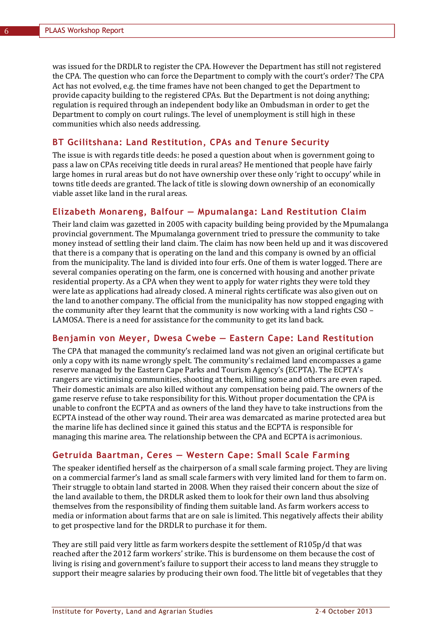was issued for the DRDLR to register the CPA. However the Department has still not registered the CPA. The question who can force the Department to comply with the court's order? The CPA Act has not evolved, e.g. the time frames have not been changed to get the Department to provide capacity building to the registered CPAs. But the Department is not doing anything; regulation is required through an independent body like an Ombudsman in order to get the Department to comply on court rulings. The level of unemployment is still high in these communities which also needs addressing.

## **BT Gcilitshana: Land Restitution, CPAs and Tenure Security**

The issue is with regards title deeds: he posed a question about when is government going to pass a law on CPAs receiving title deeds in rural areas? He mentioned that people have fairly large homes in rural areas but do not have ownership over these only 'right to occupy' while in towns title deeds are granted. The lack of title is slowing down ownership of an economically viable asset like land in the rural areas.

#### **Elizabeth Monareng, Balfour — Mpumalanga: Land Restitution Claim**

Their land claim was gazetted in 2005 with capacity building being provided by the Mpumalanga provincial government. The Mpumalanga government tried to pressure the community to take money instead of settling their land claim. The claim has now been held up and it was discovered that there is a company that is operating on the land and this company is owned by an official from the municipality. The land is divided into four erfs. One of them is water logged. There are several companies operating on the farm, one is concerned with housing and another private residential property. As a CPA when they went to apply for water rights they were told they were late as applications had already closed. A mineral rights certificate was also given out on the land to another company. The official from the municipality has now stopped engaging with the community after they learnt that the community is now working with a land rights CSO – LAMOSA. There is a need for assistance for the community to get its land back.

# **Benjamin von Meyer, Dwesa Cwebe — Eastern Cape: Land Restitution**

The CPA that managed the community's reclaimed land was not given an original certificate but only a copy with its name wrongly spelt. The community's reclaimed land encompasses a game reserve managed by the Eastern Cape Parks and Tourism Agency's (ECPTA). The ECPTA's rangers are victimising communities, shooting at them, killing some and others are even raped. Their domestic animals are also killed without any compensation being paid. The owners of the game reserve refuse to take responsibility for this. Without proper documentation the CPA is unable to confront the ECPTA and as owners of the land they have to take instructions from the ECPTA instead of the other way round. Their area was demarcated as marine protected area but the marine life has declined since it gained this status and the ECPTA is responsible for managing this marine area. The relationship between the CPA and ECPTA is acrimonious.

#### **Getruida Baartman, Ceres — Western Cape: Small Scale Farming**

The speaker identified herself as the chairperson of a small scale farming project. They are living on a commercial farmer's land as small scale farmers with very limited land for them to farm on. Their struggle to obtain land started in 2008. When they raised their concern about the size of the land available to them, the DRDLR asked them to look for their own land thus absolving themselves from the responsibility of finding them suitable land. As farm workers access to media or information about farms that are on sale is limited. This negatively affects their ability to get prospective land for the DRDLR to purchase it for them.

They are still paid very little as farm workers despite the settlement of R105p/d that was reached after the 2012 farm workers' strike. This is burdensome on them because the cost of living is rising and government's failure to support their access to land means they struggle to support their meagre salaries by producing their own food. The little bit of vegetables that they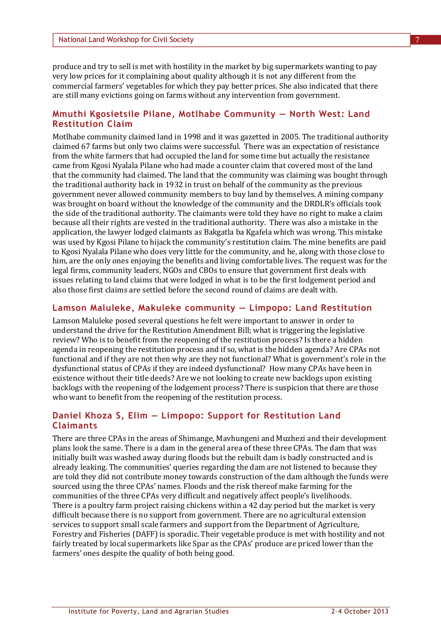produce and try to sell is met with hostility in the market by big supermarkets wanting to pay very low prices for it complaining about quality although it is not any different from the commercial farmers' vegetables for which they pay better prices. She also indicated that there are still many evictions going on farms without any intervention from government.

## **Mmuthi Kgosietsile Pilane, Motlhabe Community — North West: Land Restitution Claim**

Motlhabe community claimed land in 1998 and it was gazetted in 2005. The traditional authority claimed 67 farms but only two claims were successful. There was an expectation of resistance from the white farmers that had occupied the land for some time but actually the resistance came from Kgosi Nyalala Pilane who had made a counter claim that covered most of the land that the community had claimed. The land that the community was claiming was bought through the traditional authority back in 1932 in trust on behalf of the community as the previous government never allowed community members to buy land by themselves. A mining company was brought on board without the knowledge of the community and the DRDLR's officials took the side of the traditional authority. The claimants were told they have no right to make a claim because all their rights are vested in the traditional authority. There was also a mistake in the application, the lawyer lodged claimants as Bakgatla ba Kgafela which was wrong. This mistake was used by Kgosi Pilane to hijack the community's restitution claim. The mine benefits are paid to Kgosi Nyalala Pilane who does very little for the community, and he, along with those close to him, are the only ones enjoying the benefits and living comfortable lives. The request was for the legal firms, community leaders, NGOs and CBOs to ensure that government first deals with issues relating to land claims that were lodged in what is to be the first lodgement period and also those first claims are settled before the second round of claims are dealt with.

#### **Lamson Maluleke, Makuleke community — Limpopo: Land Restitution**

Lamson Maluleke posed several questions he felt were important to answer in order to understand the drive for the Restitution Amendment Bill; what is triggering the legislative review? Who is to benefit from the reopening of the restitution process? Is there a hidden agenda in reopening the restitution process and if so, what is the hidden agenda? Are CPAs not functional and if they are not then why are they not functional? What is government's role in the dysfunctional status of CPAs if they are indeed dysfunctional? How many CPAs have been in existence without their title deeds? Are we not looking to create new backlogs upon existing backlogs with the reopening of the lodgement process? There is suspicion that there are those who want to benefit from the reopening of the restitution process.

# **Daniel Khoza S, Elim — Limpopo: Support for Restitution Land Claimants**

There are three CPAs in the areas of Shimange, Mavhungeni and Muzhezi and their development plans look the same. There is a dam in the general area of these three CPAs. The dam that was initially built was washed away during floods but the rebuilt dam is badly constructed and is already leaking. The communities' queries regarding the dam are not listened to because they are told they did not contribute money towards construction of the dam although the funds were sourced using the three CPAs' names. Floods and the risk thereof make farming for the communities of the three CPAs very difficult and negatively affect people's livelihoods. There is a poultry farm project raising chickens within a 42 day period but the market is very difficult because there is no support from government. There are no agricultural extension services to support small scale farmers and support from the Department of Agriculture, Forestry and Fisheries (DAFF) is sporadic. Their vegetable produce is met with hostility and not fairly treated by local supermarkets like Spar as the CPAs' produce are priced lower than the farmers' ones despite the quality of both being good.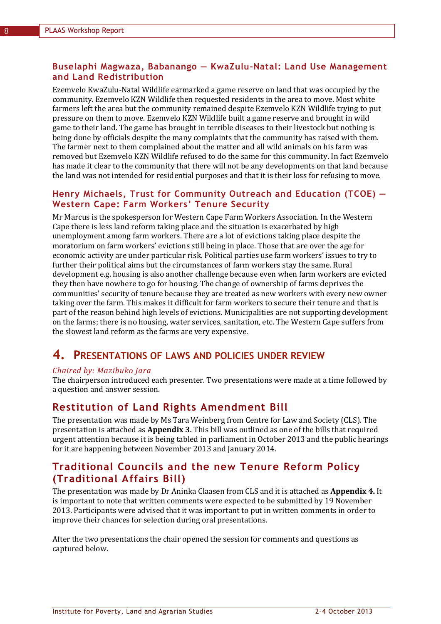# **Buselaphi Magwaza, Babanango — KwaZulu-Natal: Land Use Management and Land Redistribution**

Ezemvelo KwaZulu-Natal Wildlife earmarked a game reserve on land that was occupied by the community. Ezemvelo KZN Wildlife then requested residents in the area to move. Most white farmers left the area but the community remained despite Ezemvelo KZN Wildlife trying to put pressure on them to move. Ezemvelo KZN Wildlife built a game reserve and brought in wild game to their land. The game has brought in terrible diseases to their livestock but nothing is being done by officials despite the many complaints that the community has raised with them. The farmer next to them complained about the matter and all wild animals on his farm was removed but Ezemvelo KZN Wildlife refused to do the same for this community. In fact Ezemvelo has made it clear to the community that there will not be any developments on that land because the land was not intended for residential purposes and that it is their loss for refusing to move.

# **Henry Michaels, Trust for Community Outreach and Education (TCOE) — Western Cape: Farm Workers' Tenure Security**

Mr Marcus is the spokesperson for Western Cape Farm Workers Association. In the Western Cape there is less land reform taking place and the situation is exacerbated by high unemployment among farm workers. There are a lot of evictions taking place despite the moratorium on farm workers' evictions still being in place. Those that are over the age for economic activity are under particular risk. Political parties use farm workers' issues to try to further their political aims but the circumstances of farm workers stay the same. Rural development e.g. housing is also another challenge because even when farm workers are evicted they then have nowhere to go for housing. The change of ownership of farms deprives the communities' security of tenure because they are treated as new workers with every new owner taking over the farm. This makes it difficult for farm workers to secure their tenure and that is part of the reason behind high levels of evictions. Municipalities are not supporting development on the farms; there is no housing, water services, sanitation, etc. The Western Cape suffers from the slowest land reform as the farms are very expensive.

# **4. PRESENTATIONS OF LAWS AND POLICIES UNDER REVIEW**

#### *Chaired by: Mazibuko Jara*

The chairperson introduced each presenter. Two presentations were made at a time followed by a question and answer session.

# **Restitution of Land Rights Amendment Bill**

The presentation was made by Ms Tara Weinberg from Centre for Law and Society (CLS). The presentation is attached as **Appendix 3.** This bill was outlined as one of the bills that required urgent attention because it is being tabled in parliament in October 2013 and the public hearings for it are happening between November 2013 and January 2014.

# **Traditional Councils and the new Tenure Reform Policy (Traditional Affairs Bill)**

The presentation was made by Dr Aninka Claasen from CLS and it is attached as **Appendix 4.** It is important to note that written comments were expected to be submitted by 19 November 2013. Participants were advised that it was important to put in written comments in order to improve their chances for selection during oral presentations.

After the two presentations the chair opened the session for comments and questions as captured below.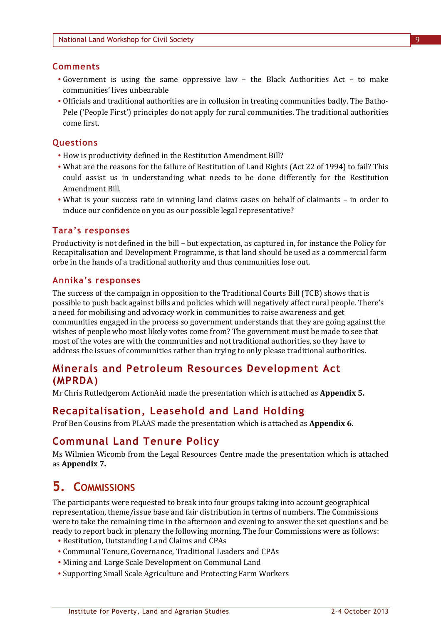# **Comments**

- Government is using the same oppressive law the Black Authorities Act to make communities' lives unbearable
- Officials and traditional authorities are in collusion in treating communities badly. The Batho-Pele ('People First') principles do not apply for rural communities. The traditional authorities come first.

# **Questions**

- How is productivity defined in the Restitution Amendment Bill?
- What are the reasons for the failure of Restitution of Land Rights (Act 22 of 1994) to fail? This could assist us in understanding what needs to be done differently for the Restitution Amendment Bill.
- What is your success rate in winning land claims cases on behalf of claimants in order to induce our confidence on you as our possible legal representative?

# **Tara's responses**

Productivity is not defined in the bill – but expectation, as captured in, for instance the Policy for Recapitalisation and Development Programme, is that land should be used as a commercial farm orbe in the hands of a traditional authority and thus communities lose out.

# **Annika's responses**

The success of the campaign in opposition to the Traditional Courts Bill (TCB) shows that is possible to push back against bills and policies which will negatively affect rural people. There's a need for mobilising and advocacy work in communities to raise awareness and get communities engaged in the process so government understands that they are going against the wishes of people who most likely votes come from? The government must be made to see that most of the votes are with the communities and not traditional authorities, so they have to address the issues of communities rather than trying to only please traditional authorities.

# **Minerals and Petroleum Resources Development Act (MPRDA)**

Mr Chris Rutledgerom ActionAid made the presentation which is attached as **Appendix 5.**

# **Recapitalisation, Leasehold and Land Holding**

Prof Ben Cousins from PLAAS made the presentation which is attached as **Appendix 6.**

# **Communal Land Tenure Policy**

Ms Wilmien Wicomb from the Legal Resources Centre made the presentation which is attached as **Appendix 7.**

# **5. COMMISSIONS**

The participants were requested to break into four groups taking into account geographical representation, theme/issue base and fair distribution in terms of numbers. The Commissions were to take the remaining time in the afternoon and evening to answer the set questions and be ready to report back in plenary the following morning. The four Commissions were as follows:

- Restitution, Outstanding Land Claims and CPAs
- Communal Tenure, Governance, Traditional Leaders and CPAs
- Mining and Large Scale Development on Communal Land
- Supporting Small Scale Agriculture and Protecting Farm Workers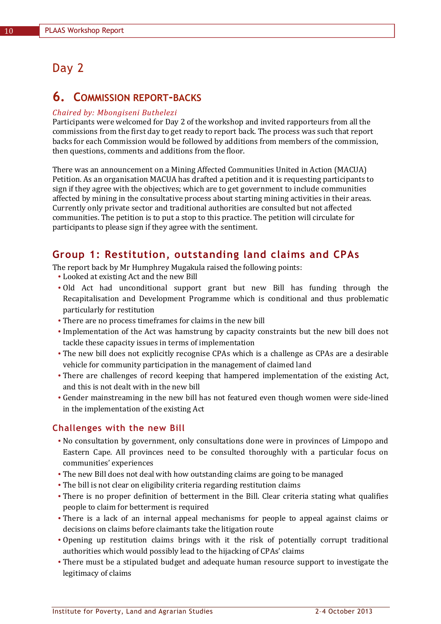# Day 2

# **6. COMMISSION REPORT-BACKS**

#### *Chaired by: Mbongiseni Buthelezi*

Participants were welcomed for Day 2 of the workshop and invited rapporteurs from all the commissions from the first day to get ready to report back. The process was such that report backs for each Commission would be followed by additions from members of the commission, then questions, comments and additions from the floor.

There was an announcement on a Mining Affected Communities United in Action (MACUA) Petition. As an organisation MACUA has drafted a petition and it is requesting participants to sign if they agree with the objectives; which are to get government to include communities affected by mining in the consultative process about starting mining activities in their areas. Currently only private sector and traditional authorities are consulted but not affected communities. The petition is to put a stop to this practice. The petition will circulate for participants to please sign if they agree with the sentiment.

# **Group 1: Restitution, outstanding land claims and CPAs**

The report back by Mr Humphrey Mugakula raised the following points:

- Looked at existing Act and the new Bill
- Old Act had unconditional support grant but new Bill has funding through the Recapitalisation and Development Programme which is conditional and thus problematic particularly for restitution
- There are no process timeframes for claims in the new bill
- Implementation of the Act was hamstrung by capacity constraints but the new bill does not tackle these capacity issues in terms of implementation
- The new bill does not explicitly recognise CPAs which is a challenge as CPAs are a desirable vehicle for community participation in the management of claimed land
- There are challenges of record keeping that hampered implementation of the existing Act, and this is not dealt with in the new bill
- Gender mainstreaming in the new bill has not featured even though women were side-lined in the implementation of the existing Act

# **Challenges with the new Bill**

- No consultation by government, only consultations done were in provinces of Limpopo and Eastern Cape. All provinces need to be consulted thoroughly with a particular focus on communities' experiences
- The new Bill does not deal with how outstanding claims are going to be managed
- The bill is not clear on eligibility criteria regarding restitution claims
- There is no proper definition of betterment in the Bill. Clear criteria stating what qualifies people to claim for betterment is required
- There is a lack of an internal appeal mechanisms for people to appeal against claims or decisions on claims before claimants take the litigation route
- Opening up restitution claims brings with it the risk of potentially corrupt traditional authorities which would possibly lead to the hijacking of CPAs' claims
- There must be a stipulated budget and adequate human resource support to investigate the legitimacy of claims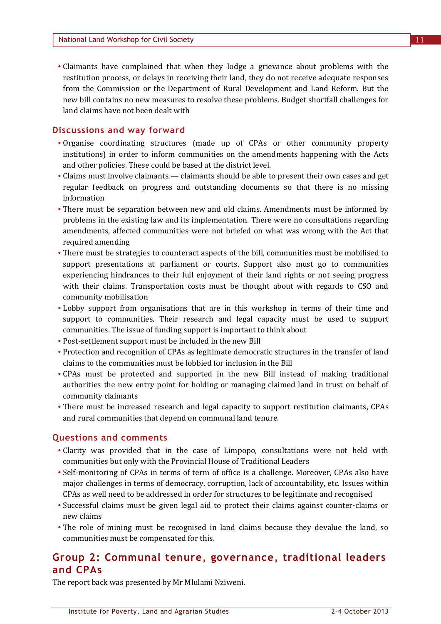Claimants have complained that when they lodge a grievance about problems with the restitution process, or delays in receiving their land, they do not receive adequate responses from the Commission or the Department of Rural Development and Land Reform. But the new bill contains no new measures to resolve these problems. Budget shortfall challenges for land claims have not been dealt with

#### **Discussions and way forward**

- Organise coordinating structures (made up of CPAs or other community property institutions) in order to inform communities on the amendments happening with the Acts and other policies. These could be based at the district level.
- Claims must involve claimants claimants should be able to present their own cases and get regular feedback on progress and outstanding documents so that there is no missing information
- There must be separation between new and old claims. Amendments must be informed by problems in the existing law and its implementation. There were no consultations regarding amendments, affected communities were not briefed on what was wrong with the Act that required amending
- There must be strategies to counteract aspects of the bill, communities must be mobilised to support presentations at parliament or courts. Support also must go to communities experiencing hindrances to their full enjoyment of their land rights or not seeing progress with their claims. Transportation costs must be thought about with regards to CSO and community mobilisation
- Lobby support from organisations that are in this workshop in terms of their time and support to communities. Their research and legal capacity must be used to support communities. The issue of funding support is important to think about
- Post-settlement support must be included in the new Bill
- Protection and recognition of CPAs as legitimate democratic structures in the transfer of land claims to the communities must be lobbied for inclusion in the Bill
- CPAs must be protected and supported in the new Bill instead of making traditional authorities the new entry point for holding or managing claimed land in trust on behalf of community claimants
- There must be increased research and legal capacity to support restitution claimants, CPAs and rural communities that depend on communal land tenure.

#### **Questions and comments**

- Clarity was provided that in the case of Limpopo, consultations were not held with communities but only with the Provincial House of Traditional Leaders
- Self-monitoring of CPAs in terms of term of office is a challenge. Moreover, CPAs also have major challenges in terms of democracy, corruption, lack of accountability, etc. Issues within CPAs as well need to be addressed in order for structures to be legitimate and recognised
- Successful claims must be given legal aid to protect their claims against counter-claims or new claims
- The role of mining must be recognised in land claims because they devalue the land, so communities must be compensated for this.

# **Group 2: Communal tenure, governance, traditional leaders and CPAs**

The report back was presented by Mr Mlulami Nziweni.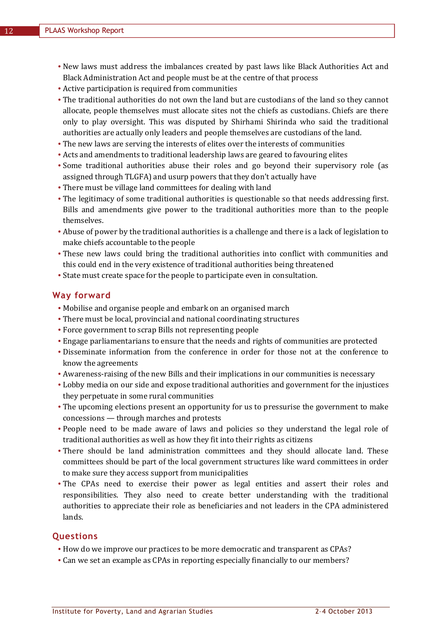- New laws must address the imbalances created by past laws like Black Authorities Act and Black Administration Act and people must be at the centre of that process
- Active participation is required from communities
- The traditional authorities do not own the land but are custodians of the land so they cannot allocate, people themselves must allocate sites not the chiefs as custodians. Chiefs are there only to play oversight. This was disputed by Shirhami Shirinda who said the traditional authorities are actually only leaders and people themselves are custodians of the land.
- The new laws are serving the interests of elites over the interests of communities
- Acts and amendments to traditional leadership laws are geared to favouring elites
- Some traditional authorities abuse their roles and go beyond their supervisory role (as assigned through TLGFA) and usurp powers that they don't actually have
- There must be village land committees for dealing with land
- The legitimacy of some traditional authorities is questionable so that needs addressing first. Bills and amendments give power to the traditional authorities more than to the people themselves.
- Abuse of power by the traditional authorities is a challenge and there is a lack of legislation to make chiefs accountable to the people
- These new laws could bring the traditional authorities into conflict with communities and this could end in the very existence of traditional authorities being threatened
- State must create space for the people to participate even in consultation.

## **Way forward**

- Mobilise and organise people and embark on an organised march
- There must be local, provincial and national coordinating structures
- Force government to scrap Bills not representing people
- Engage parliamentarians to ensure that the needs and rights of communities are protected
- Disseminate information from the conference in order for those not at the conference to know the agreements
- Awareness-raising of the new Bills and their implications in our communities is necessary
- Lobby media on our side and expose traditional authorities and government for the injustices they perpetuate in some rural communities
- The upcoming elections present an opportunity for us to pressurise the government to make concessions — through marches and protests
- People need to be made aware of laws and policies so they understand the legal role of traditional authorities as well as how they fit into their rights as citizens
- There should be land administration committees and they should allocate land. These committees should be part of the local government structures like ward committees in order to make sure they access support from municipalities
- The CPAs need to exercise their power as legal entities and assert their roles and responsibilities. They also need to create better understanding with the traditional authorities to appreciate their role as beneficiaries and not leaders in the CPA administered lands.

# **Questions**

- How do we improve our practices to be more democratic and transparent as CPAs?
- Can we set an example as CPAs in reporting especially financially to our members?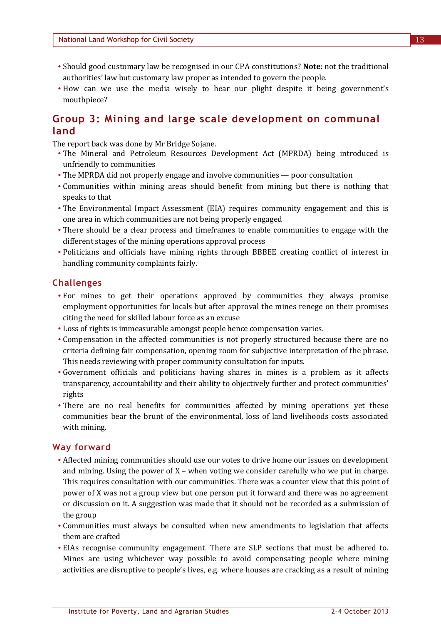- Should good customary law be recognised in our CPA constitutions? **Note**: not the traditional authorities' law but customary law proper as intended to govern the people.
- How can we use the media wisely to hear our plight despite it being government's mouthpiece?

# **Group 3: Mining and large scale development on communal land**

The report back was done by Mr Bridge Sojane.

- The Mineral and Petroleum Resources Development Act (MPRDA) being introduced is unfriendly to communities
- The MPRDA did not properly engage and involve communities poor consultation
- Communities within mining areas should benefit from mining but there is nothing that speaks to that
- The Environmental Impact Assessment (EIA) requires community engagement and this is one area in which communities are not being properly engaged
- There should be a clear process and timeframes to enable communities to engage with the different stages of the mining operations approval process
- Politicians and officials have mining rights through BBBEE creating conflict of interest in handling community complaints fairly.

# **Challenges**

- For mines to get their operations approved by communities they always promise employment opportunities for locals but after approval the mines renege on their promises citing the need for skilled labour force as an excuse
- Loss of rights is immeasurable amongst people hence compensation varies.
- Compensation in the affected communities is not properly structured because there are no criteria defining fair compensation, opening room for subjective interpretation of the phrase. This needs reviewing with proper community consultation for inputs.
- Government officials and politicians having shares in mines is a problem as it affects transparency, accountability and their ability to objectively further and protect communities' rights
- There are no real benefits for communities affected by mining operations yet these communities bear the brunt of the environmental, loss of land livelihoods costs associated with mining.

# **Way forward**

- Affected mining communities should use our votes to drive home our issues on development and mining. Using the power of X – when voting we consider carefully who we put in charge. This requires consultation with our communities. There was a counter view that this point of power of X was not a group view but one person put it forward and there was no agreement or discussion on it. A suggestion was made that it should not be recorded as a submission of the group
- Communities must always be consulted when new amendments to legislation that affects them are crafted
- EIAs recognise community engagement. There are SLP sections that must be adhered to. Mines are using whichever way possible to avoid compensating people where mining activities are disruptive to people's lives, e.g. where houses are cracking as a result of mining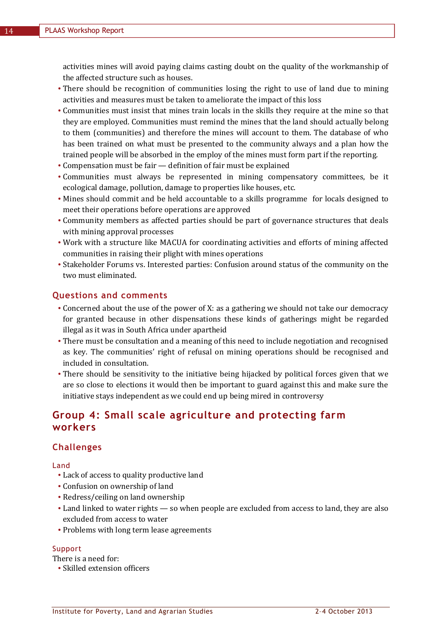activities mines will avoid paying claims casting doubt on the quality of the workmanship of the affected structure such as houses.

- There should be recognition of communities losing the right to use of land due to mining activities and measures must be taken to ameliorate the impact of this loss
- Communities must insist that mines train locals in the skills they require at the mine so that they are employed. Communities must remind the mines that the land should actually belong to them (communities) and therefore the mines will account to them. The database of who has been trained on what must be presented to the community always and a plan how the trained people will be absorbed in the employ of the mines must form part if the reporting.
- Compensation must be fair definition of fair must be explained
- Communities must always be represented in mining compensatory committees, be it ecological damage, pollution, damage to properties like houses, etc.
- Mines should commit and be held accountable to a skills programme for locals designed to meet their operations before operations are approved
- Community members as affected parties should be part of governance structures that deals with mining approval processes
- Work with a structure like MACUA for coordinating activities and efforts of mining affected communities in raising their plight with mines operations
- Stakeholder Forums vs. Interested parties: Confusion around status of the community on the two must eliminated.

#### **Questions and comments**

- Concerned about the use of the power of X: as a gathering we should not take our democracy for granted because in other dispensations these kinds of gatherings might be regarded illegal as it was in South Africa under apartheid
- There must be consultation and a meaning of this need to include negotiation and recognised as key. The communities' right of refusal on mining operations should be recognised and included in consultation.
- There should be sensitivity to the initiative being hijacked by political forces given that we are so close to elections it would then be important to guard against this and make sure the initiative stays independent as we could end up being mired in controversy

# **Group 4: Small scale agriculture and protecting farm workers**

#### **Challenges**

Land

- Lack of access to quality productive land
- Confusion on ownership of land
- Redress/ceiling on land ownership
- Land linked to water rights so when people are excluded from access to land, they are also excluded from access to water
- Problems with long term lease agreements

#### Support

There is a need for:

Skilled extension officers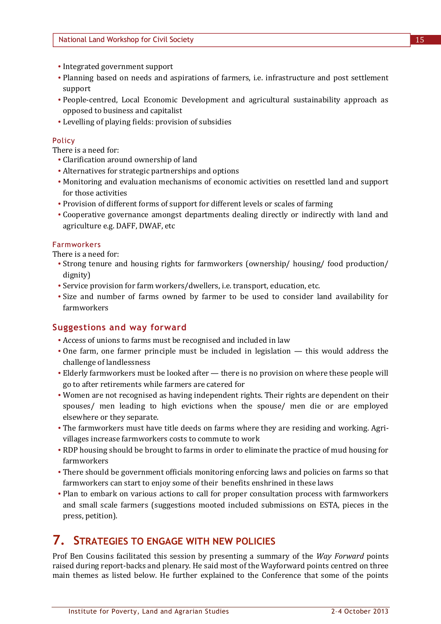- Integrated government support
- Planning based on needs and aspirations of farmers, i.e. infrastructure and post settlement support
- People-centred, Local Economic Development and agricultural sustainability approach as opposed to business and capitalist
- Levelling of playing fields: provision of subsidies

#### Policy

There is a need for:

- Clarification around ownership of land
- Alternatives for strategic partnerships and options
- Monitoring and evaluation mechanisms of economic activities on resettled land and support for those activities
- Provision of different forms of support for different levels or scales of farming
- Cooperative governance amongst departments dealing directly or indirectly with land and agriculture e.g. DAFF, DWAF, etc

#### Farmworkers

There is a need for:

- Strong tenure and housing rights for farmworkers (ownership/ housing/ food production/ dignity)
- Service provision for farm workers/dwellers, i.e. transport, education, etc.
- Size and number of farms owned by farmer to be used to consider land availability for farmworkers

#### **Suggestions and way forward**

- Access of unions to farms must be recognised and included in law
- One farm, one farmer principle must be included in legislation this would address the challenge of landlessness
- Elderly farmworkers must be looked after there is no provision on where these people will go to after retirements while farmers are catered for
- Women are not recognised as having independent rights. Their rights are dependent on their spouses/ men leading to high evictions when the spouse/ men die or are employed elsewhere or they separate.
- The farmworkers must have title deeds on farms where they are residing and working. Agrivillages increase farmworkers costs to commute to work
- RDP housing should be brought to farms in order to eliminate the practice of mud housing for farmworkers
- There should be government officials monitoring enforcing laws and policies on farms so that farmworkers can start to enjoy some of their benefits enshrined in these laws
- Plan to embark on various actions to call for proper consultation process with farmworkers and small scale farmers (suggestions mooted included submissions on ESTA, pieces in the press, petition).

# **7. STRATEGIES TO ENGAGE WITH NEW POLICIES**

Prof Ben Cousins facilitated this session by presenting a summary of the *Way Forward* points raised during report-backs and plenary. He said most of the Wayforward points centred on three main themes as listed below. He further explained to the Conference that some of the points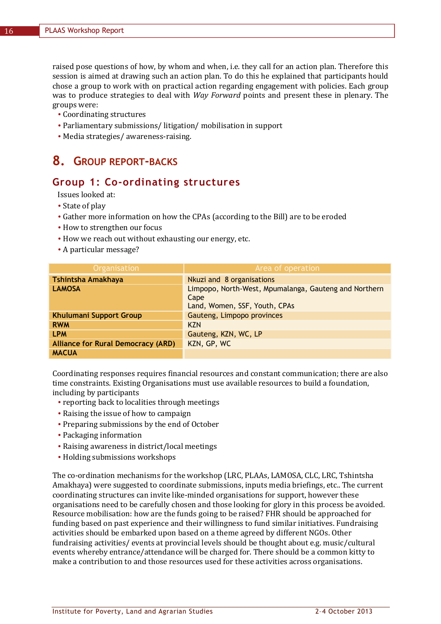raised pose questions of how, by whom and when, i.e. they call for an action plan. Therefore this session is aimed at drawing such an action plan. To do this he explained that participants hould chose a group to work with on practical action regarding engagement with policies. Each group was to produce strategies to deal with *Way Forward* points and present these in plenary. The groups were:

- Coordinating structures
- Parliamentary submissions/ litigation/ mobilisation in support
- Media strategies/ awareness-raising.

# **8. GROUP REPORT-BACKS**

# **Group 1: Co-ordinating structures**

Issues looked at:

- State of play
- Gather more information on how the CPAs (according to the Bill) are to be eroded
- How to strengthen our focus
- How we reach out without exhausting our energy, etc.
- A particular message?

| <b>Organisation</b>                       | Area of operation                                                                              |
|-------------------------------------------|------------------------------------------------------------------------------------------------|
| Tshintsha Amakhaya                        | Nkuzi and 8 organisations                                                                      |
| <b>LAMOSA</b>                             | Limpopo, North-West, Mpumalanga, Gauteng and Northern<br>Cape<br>Land, Women, SSF, Youth, CPAs |
| <b>Khulumani Support Group</b>            | Gauteng, Limpopo provinces                                                                     |
| <b>RWM</b>                                | <b>KZN</b>                                                                                     |
| <b>LPM</b>                                | Gauteng, KZN, WC, LP                                                                           |
| <b>Alliance for Rural Democracy (ARD)</b> | KZN, GP, WC                                                                                    |
| <b>MACUA</b>                              |                                                                                                |

Coordinating responses requires financial resources and constant communication; there are also time constraints. Existing Organisations must use available resources to build a foundation, including by participants

- reporting back to localities through meetings
- Raising the issue of how to campaign
- Preparing submissions by the end of October
- Packaging information
- Raising awareness in district/local meetings
- Holding submissions workshops

The co-ordination mechanisms for the workshop (LRC, PLAAs, LAMOSA, CLC, LRC, Tshintsha Amakhaya) were suggested to coordinate submissions, inputs media briefings, etc.. The current coordinating structures can invite like-minded organisations for support, however these organisations need to be carefully chosen and those looking for glory in this process be avoided. Resource mobilisation: how are the funds going to be raised? FHR should be approached for funding based on past experience and their willingness to fund similar initiatives. Fundraising activities should be embarked upon based on a theme agreed by different NGOs. Other fundraising activities/ events at provincial levels should be thought about e.g. music/cultural events whereby entrance/attendance will be charged for. There should be a common kitty to make a contribution to and those resources used for these activities across organisations.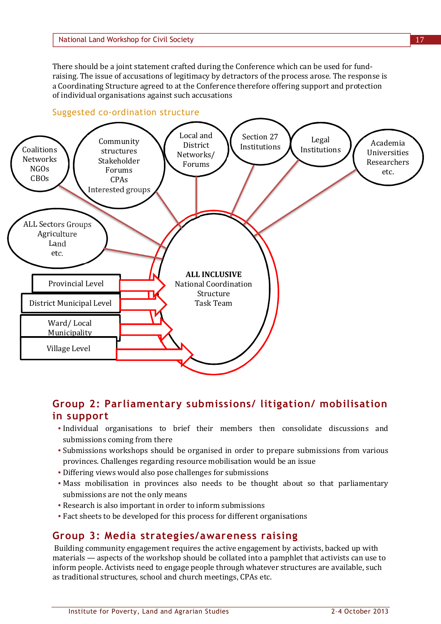There should be a joint statement crafted during the Conference which can be used for fundraising. The issue of accusations of legitimacy by detractors of the process arose. The response is a Coordinating Structure agreed to at the Conference therefore offering support and protection of individual organisations against such accusations





# **Group 2: Parliamentary submissions/ litigation/ mobilisation in support**

- Individual organisations to brief their members then consolidate discussions and submissions coming from there
- Submissions workshops should be organised in order to prepare submissions from various provinces. Challenges regarding resource mobilisation would be an issue
- Differing views would also pose challenges for submissions
- Mass mobilisation in provinces also needs to be thought about so that parliamentary submissions are not the only means
- Research is also important in order to inform submissions
- Fact sheets to be developed for this process for different organisations

# **Group 3: Media strategies/awareness raising**

Building community engagement requires the active engagement by activists, backed up with materials — aspects of the workshop should be collated into a pamphlet that activists can use to inform people. Activists need to engage people through whatever structures are available, such as traditional structures, school and church meetings, CPAs etc.